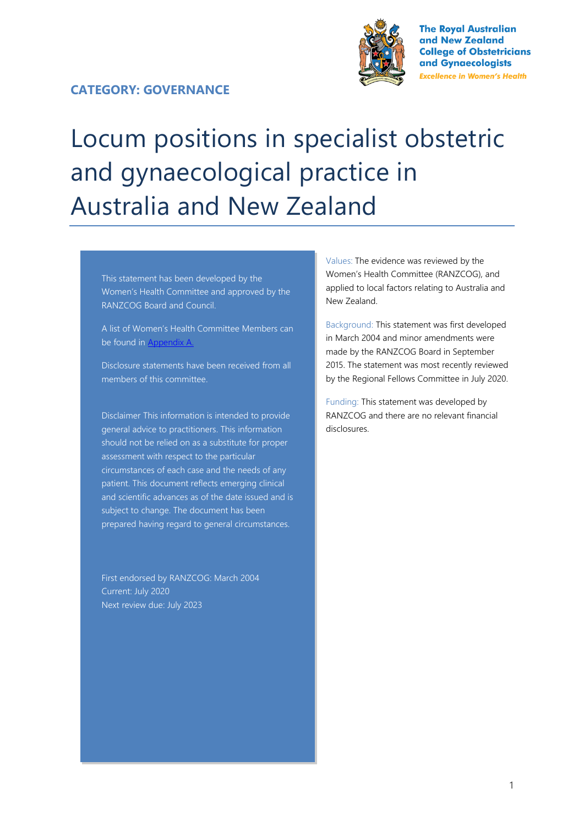#### **CATEGORY: GOVERNANCE**



**The Royal Australian** and New Zealand **College of Obstetricians** and Gynaecologists **Excellence in Women's Health** 

# Locum positions in specialist obstetric and gynaecological practice in Australia and New Zealand

This statement has been developed by the Women's Health Committee and approved by the RANZCOG Board and Council.

A list of Women's Health Committee Members can be found in Appendix A.

Disclosure statements have been received from all members of this committee.

Disclaimer This information is intended to provide general advice to practitioners. This information should not be relied on as a substitute for proper assessment with respect to the particular circumstances of each case and the needs of any patient. This document reflects emerging clinical and scientific advances as of the date issued and is subject to change. The document has been prepared having regard to general circumstances.

First endorsed by RANZCOG: March 2004 Current: July 2020 Next review due: July 2023

Values: The evidence was reviewed by the Women's Health Committee (RANZCOG), and applied to local factors relating to Australia and New Zealand.

Background: This statement was first developed in March 2004 and minor amendments were made by the RANZCOG Board in September 2015. The statement was most recently reviewed by the Regional Fellows Committee in July 2020.

Funding: This statement was developed by RANZCOG and there are no relevant financial disclosures.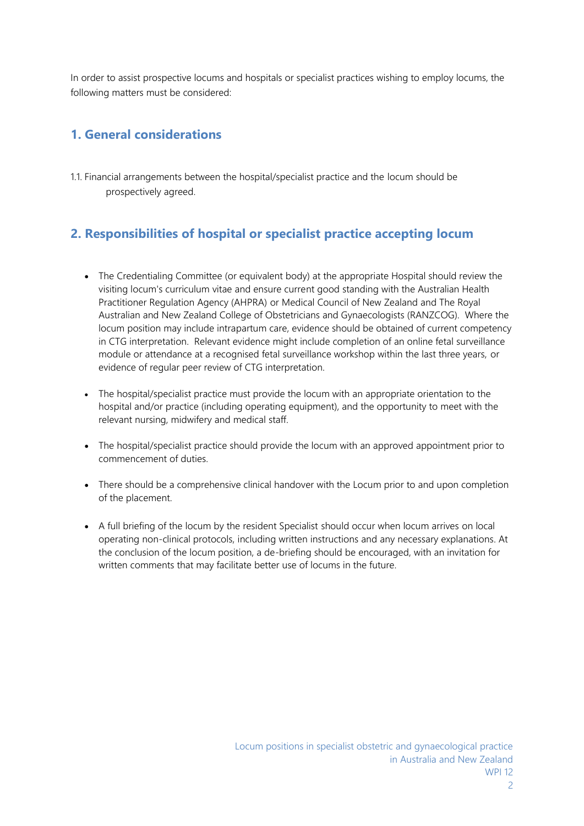In order to assist prospective locums and hospitals or specialist practices wishing to employ locums, the following matters must be considered:

### **1. General considerations**

1.1. Financial arrangements between the hospital/specialist practice and the locum should be prospectively agreed.

# **2. Responsibilities of hospital or specialist practice accepting locum**

- The Credentialing Committee (or equivalent body) at the appropriate Hospital should review the visiting locum's curriculum vitae and ensure current good standing with the Australian Health Practitioner Regulation Agency (AHPRA) or Medical Council of New Zealand and The Royal Australian and New Zealand College of Obstetricians and Gynaecologists (RANZCOG). Where the locum position may include intrapartum care, evidence should be obtained of current competency in CTG interpretation. Relevant evidence might include completion of an online fetal surveillance module or attendance at a recognised fetal surveillance workshop within the last three years, or evidence of regular peer review of CTG interpretation.
- The hospital/specialist practice must provide the locum with an appropriate orientation to the hospital and/or practice (including operating equipment), and the opportunity to meet with the relevant nursing, midwifery and medical staff.
- The hospital/specialist practice should provide the locum with an approved appointment prior to commencement of duties.
- There should be a comprehensive clinical handover with the Locum prior to and upon completion of the placement.
- A full briefing of the locum by the resident Specialist should occur when locum arrives on local operating non-clinical protocols, including written instructions and any necessary explanations. At the conclusion of the locum position, a de-briefing should be encouraged, with an invitation for written comments that may facilitate better use of locums in the future.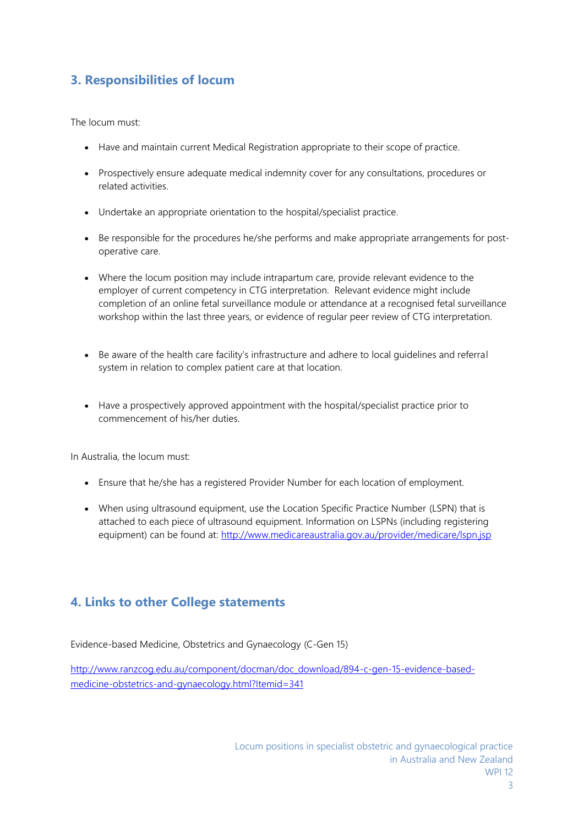## **3. Responsibilities of locum**

The locum must:

- Have and maintain current Medical Registration appropriate to their scope of practice.
- Prospectively ensure adequate medical indemnity cover for any consultations, procedures or related activities.
- Undertake an appropriate orientation to the hospital/specialist practice.
- Be responsible for the procedures he/she performs and make appropriate arrangements for postoperative care.
- Where the locum position may include intrapartum care, provide relevant evidence to the employer of current competency in CTG interpretation. Relevant evidence might include completion of an online fetal surveillance module or attendance at a recognised fetal surveillance workshop within the last three years, or evidence of regular peer review of CTG interpretation.
- Be aware of the health care facility's infrastructure and adhere to local guidelines and referral system in relation to complex patient care at that location.
- Have a prospectively approved appointment with the hospital/specialist practice prior to commencement of his/her duties.

In Australia, the locum must:

- Ensure that he/she has a registered Provider Number for each location of employment.
- When using ultrasound equipment, use the Location Specific Practice Number (LSPN) that is attached to each piece of ultrasound equipment. Information on LSPNs (including registering equipment) can be found at:<http://www.medicareaustralia.gov.au/provider/medicare/lspn.jsp>

### **4. Links to other College statements**

Evidence-based Medicine, Obstetrics and Gynaecology (C-Gen 15)

[http://www.ranzcog.edu.au/component/docman/doc\\_download/894-c-gen-15-evidence-based](http://www.ranzcog.edu.au/component/docman/doc_download/894-c-gen-15-evidence-based-medicine-obstetrics-and-gynaecology.html?Itemid=341)[medicine-obstetrics-and-gynaecology.html?Itemid=341](http://www.ranzcog.edu.au/component/docman/doc_download/894-c-gen-15-evidence-based-medicine-obstetrics-and-gynaecology.html?Itemid=341)